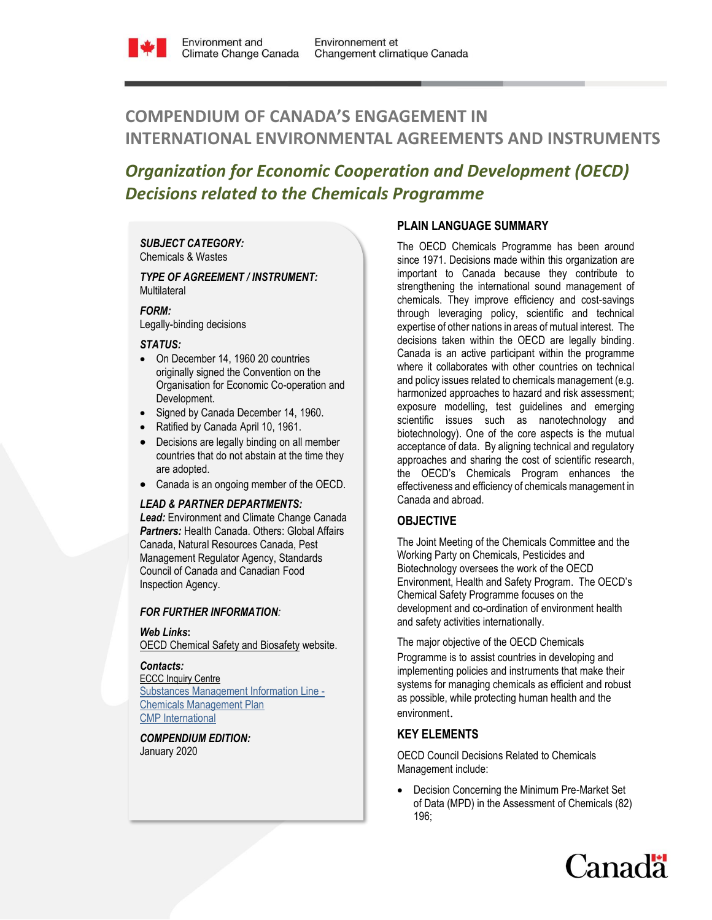

# **COMPENDIUM OF CANADA'S ENGAGEMENT IN INTERNATIONAL ENVIRONMENTAL AGREEMENTS AND INSTRUMENTS**

# *Organization for Economic Cooperation and Development (OECD) Decisions related to the Chemicals Programme*

#### *SUBJECT CATEGORY:*  Chemicals & Wastes

#### *TYPE OF AGREEMENT / INSTRUMENT:*  **Multilateral**

### *FORM:*

Legally-binding decisions

### *STATUS:*

- On December 14, 1960 20 countries originally signed the Convention on the Organisation for Economic Co-operation and Development.
- Signed by Canada December 14, 1960.
- Ratified by Canada April 10, 1961.
- Decisions are legally binding on all member countries that do not abstain at the time they are adopted.
- Canada is an ongoing member of the OECD.

### *LEAD & PARTNER DEPARTMENTS:*

*Lead:* Environment and Climate Change Canada *Partners:* Health Canada. Others: Global Affairs Canada, Natural Resources Canada, Pest Management Regulator Agency, Standards Council of Canada and Canadian Food Inspection Agency.

### *FOR FURTHER INFORMATION:*

### *Web Links***:**

**[OECD Chemical Safety and Biosafety](http://www.oecd.org/chemicalsafety/) website.** 

### *Contacts:*

[ECCC Inquiry Centre](https://www.ec.gc.ca/default.asp?lang=En&n=DA294545-1) [Substances Management Information Line -](http://www.chemicalsubstanceschimiques.gc.ca/contact/index-eng.php)  [Chemicals Management Plan](http://www.chemicalsubstanceschimiques.gc.ca/contact/index-eng.php) [CMP International](mailto:ec.pgpcinternational-cmpinternational.ec@canada.ca)

*COMPENDIUM EDITION:* January 2020

# **PLAIN LANGUAGE SUMMARY**

The OECD Chemicals Programme has been around since 1971. Decisions made within this organization are important to Canada because they contribute to strengthening the international sound management of chemicals. They improve efficiency and cost-savings through leveraging policy, scientific and technical expertise of other nations in areas of mutual interest. The decisions taken within the OECD are legally binding. Canada is an active participant within the programme where it collaborates with other countries on technical and policy issues related to chemicals management (e.g. harmonized approaches to hazard and risk assessment; exposure modelling, test guidelines and emerging scientific issues such as nanotechnology and biotechnology). One of the core aspects is the mutual acceptance of data. By aligning technical and regulatory approaches and sharing the cost of scientific research, the OECD's Chemicals Program enhances the effectiveness and efficiency of chemicals management in Canada and abroad.

# **OBJECTIVE**

The Joint Meeting of the Chemicals Committee and the Working Party on Chemicals, Pesticides and Biotechnology oversees the work of the OECD Environment, Health and Safety Program. The OECD's Chemical Safety Programme focuses on the development and co-ordination of environment health and safety activities internationally.

The major objective of the OECD Chemicals

Programme is to assist countries in developing and implementing policies and instruments that make their systems for managing chemicals as efficient and robust as possible, while protecting human health and the environment.

# **KEY ELEMENTS**

OECD Council Decisions Related to Chemicals Management include:

 Decision Concerning the Minimum Pre-Market Set of Data (MPD) in the Assessment of Chemicals (82) 196;